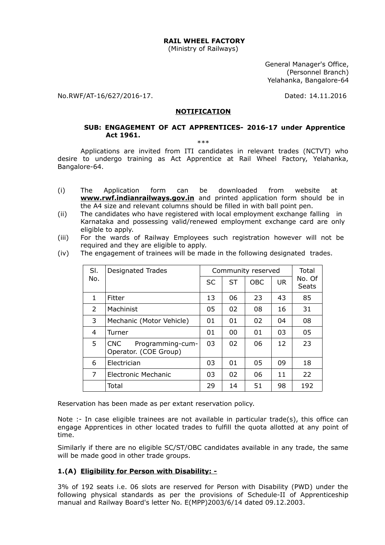#### **RAIL WHEEL FACTORY**

(Ministry of Railways)

General Manager's Office, (Personnel Branch) Yelahanka, Bangalore-64

No.RWF/AT-16/627/2016-17. Dated: 14.11.2016

#### **NOTIFICATION**

#### **SUB: ENGAGEMENT OF ACT APPRENTICES- 2016-17 under Apprentice Act 1961.**  \*\*\*

Applications are invited from ITI candidates in relevant trades (NCTVT) who desire to undergo training as Act Apprentice at Rail Wheel Factory, Yelahanka, Bangalore-64.

- (i) The Application form can be downloaded from website at **www.rwf.indianrailways.gov.in** and printed application form should be in the A4 size and relevant columns should be filled in with ball point pen.
- (ii) The candidates who have registered with local employment exchange falling in Karnataka and possessing valid/renewed employment exchange card are only eligible to apply.
- (iii) For the wards of Railway Employees such registration however will not be required and they are eligible to apply.

| SI.           | <b>Designated Trades</b>                         | Community reserved |           |            |           | Total                  |  |
|---------------|--------------------------------------------------|--------------------|-----------|------------|-----------|------------------------|--|
| No.           |                                                  | <b>SC</b>          | <b>ST</b> | <b>OBC</b> | <b>UR</b> | No. Of<br><b>Seats</b> |  |
| 1             | Fitter                                           | 13                 | 06        | 23         | 43        | 85                     |  |
| $\mathcal{L}$ | Machinist                                        | 05                 | 02        | 08         | 16        | 31                     |  |
| 3             | Mechanic (Motor Vehicle)                         | 01                 | 01        | 02         | 04        | 08                     |  |
| 4             | Turner                                           | 01                 | 00        | 01         | 03        | 05                     |  |
| 5             | CNC<br>Programming-cum-<br>Operator. (COE Group) | 03                 | 02        | 06         | 12        | 23                     |  |
| 6             | Electrician                                      | 03                 | 01        | 05         | 09        | 18                     |  |
| 7             | Electronic Mechanic                              | 03                 | 02        | 06         | 11        | 22                     |  |
|               | Total                                            | 29                 | 14        | 51         | 98        | 192                    |  |

(iv) The engagement of trainees will be made in the following designated trades.

Reservation has been made as per extant reservation policy.

Note :- In case eligible trainees are not available in particular trade(s), this office can engage Apprentices in other located trades to fulfill the quota allotted at any point of time.

Similarly if there are no eligible SC/ST/OBC candidates available in any trade, the same will be made good in other trade groups.

#### **1.(A) Eligibility for Person with Disability: -**

3% of 192 seats i.e. 06 slots are reserved for Person with Disability (PWD) under the following physical standards as per the provisions of Schedule-II of Apprenticeship manual and Railway Board's letter No. E(MPP)2003/6/14 dated 09.12.2003.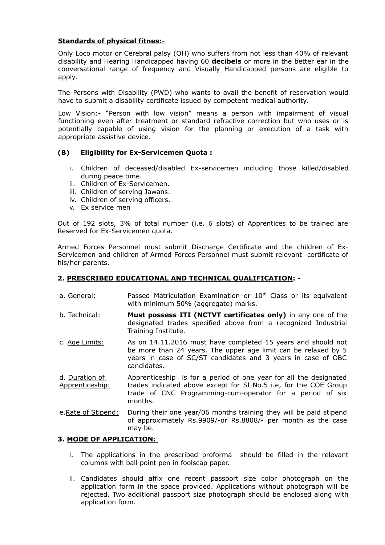#### **Standards of physical fitnes:-**

Only Loco motor or Cerebral palsy (OH) who suffers from not less than 40% of relevant disability and Hearing Handicapped having 60 **decibels** or more in the better ear in the conversational range of frequency and Visually Handicapped persons are eligible to apply.

The Persons with Disability (PWD) who wants to avail the benefit of reservation would have to submit a disability certificate issued by competent medical authority.

Low Vision:- "Person with low vision" means a person with impairment of visual functioning even after treatment or standard refractive correction but who uses or is potentially capable of using vision for the planning or execution of a task with appropriate assistive device.

## **(B) Eligibility for Ex-Servicemen Quota :**

- i. Children of deceased/disabled Ex-servicemen including those killed/disabled during peace time.
- ii. Children of Ex-Servicemen.
- iii. Children of serving Jawans.
- iv. Children of serving officers.
- v. Ex service men

Out of 192 slots, 3% of total number (i.e. 6 slots) of Apprentices to be trained are Reserved for Ex-Servicemen quota.

Armed Forces Personnel must submit Discharge Certificate and the children of Ex-Servicemen and children of Armed Forces Personnel must submit relevant certificate of his/her parents.

## **2. PRESCRIBED EDUCATIONAL AND TECHNICAL QUALIFICATION: -**

- a. General:  $P$ assed Matriculation Examination or  $10<sup>th</sup>$  Class or its equivalent with minimum 50% (aggregate) marks.
- b. Technical: **Must possess ITI (NCTVT certificates only)** in any one of the designated trades specified above from a recognized Industrial Training Institute.
- c. Age Limits: As on 14.11.2016 must have completed 15 years and should not be more than 24 years. The upper age limit can be relaxed by 5 years in case of SC/ST candidates and 3 years in case of OBC candidates.
- d. Duration of Apprenticeship: Apprenticeship is for a period of one year for all the designated trades indicated above except for Sl No.5 i.e, for the COE Group trade of CNC Programming-cum-operator for a period of six months.
- e. Rate of Stipend: During their one year/06 months training they will be paid stipend of approximately Rs.9909/-or Rs.8808/- per month as the case may be.

## **3. MODE OF APPLICATION:**

- i. The applications in the prescribed proforma should be filled in the relevant columns with ball point pen in foolscap paper.
- ii. Candidates should affix one recent passport size color photograph on the application form in the space provided. Applications without photograph will be rejected. Two additional passport size photograph should be enclosed along with application form.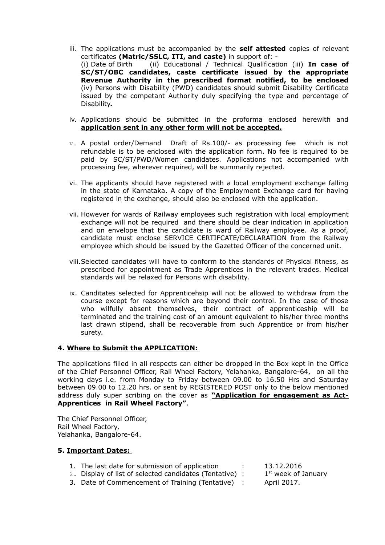- iii. The applications must be accompanied by the **self attested** copies of relevant certificates **(Matric/SSLC, ITI, and caste)** in support of: - (i) Date of Birth (ii) Educational / Technical Qualification (iii) **In case of SC/ST/OBC candidates, caste certificate issued by the appropriate Revenue Authority in the prescribed format notified, to be enclosed** (iv) Persons with Disability (PWD) candidates should submit Disability Certificate issued by the competant Authority duly specifying the type and percentage of Disability**.**
- iv. Applications should be submitted in the proforma enclosed herewith and **application sent in any other form will not be accepted.**
- $v.$  A postal order/Demand Draft of Rs.100/- as processing fee which is not refundable is to be enclosed with the application form. No fee is required to be paid by SC/ST/PWD/Women candidates. Applications not accompanied with processing fee, wherever required, will be summarily rejected.
- vi. The applicants should have registered with a local employment exchange falling in the state of Karnataka. A copy of the Employment Exchange card for having registered in the exchange, should also be enclosed with the application.
- vii. However for wards of Railway employees such registration with local employment exchange will not be required and there should be clear indication in application and on envelope that the candidate is ward of Railway employee. As a proof, candidate must enclose SERVICE CERTIFCATE/DECLARATION from the Railway employee which should be issued by the Gazetted Officer of the concerned unit.
- viii.Selected candidates will have to conform to the standards of Physical fitness, as prescribed for appointment as Trade Apprentices in the relevant trades. Medical standards will be relaxed for Persons with disability.
- ix. Canditates selected for Apprenticehsip will not be allowed to withdraw from the course except for reasons which are beyond their control. In the case of those who wilfully absent themselves, their contract of apprenticeship will be terminated and the training cost of an amount equivalent to his/her three months last drawn stipend, shall be recoverable from such Apprentice or from his/her surety.

#### **4. Where to Submit the APPLICATION:**

The applications filled in all respects can either be dropped in the Box kept in the Office of the Chief Personnel Officer, Rail Wheel Factory, Yelahanka, Bangalore-64, on all the working days i.e. from Monday to Friday between 09.00 to 16.50 Hrs and Saturday between 09.00 to 12.20 hrs. or sent by REGISTERED POST only to the below mentioned address duly super scribing on the cover as **"Application for engagement as Act-Apprentices in Rail Wheel Factory"**.

The Chief Personnel Officer, Rail Wheel Factory, Yelahanka, Bangalore-64.

#### **5. Important Dates:**

- 1. The last date for submission of application : 13.12.2016
	-
- 2. Display of list of selected candidates (Tentative) : 1
- $1<sup>st</sup>$  week of January
- 3. Date of Commencement of Training (Tentative) : April 2017.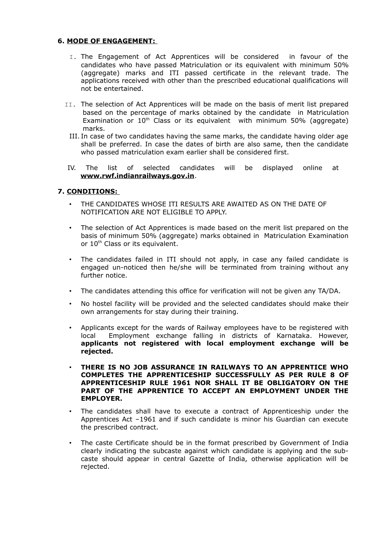#### **6. MODE OF ENGAGEMENT:**

- I. The Engagement of Act Apprentices will be considered in favour of the candidates who have passed Matriculation or its equivalent with minimum 50% (aggregate) marks and ITI passed certificate in the relevant trade. The applications received with other than the prescribed educational qualifications will not be entertained.
- II. The selection of Act Apprentices will be made on the basis of merit list prepared based on the percentage of marks obtained by the candidate in Matriculation Examination or  $10^{th}$  Class or its equivalent with minimum 50% (aggregate) marks.
	- III. In case of two candidates having the same marks, the candidate having older age shall be preferred. In case the dates of birth are also same, then the candidate who passed matriculation exam earlier shall be considered first.
- IV. The list of selected candidates will be displayed online at **www.rwf.indianrailways.gov.in**.

## **7. CONDITIONS:**

- THE CANDIDATES WHOSE ITI RESULTS ARE AWAITED AS ON THE DATE OF NOTIFICATION ARE NOT ELIGIBLE TO APPLY.
- The selection of Act Apprentices is made based on the merit list prepared on the basis of minimum 50% (aggregate) marks obtained in Matriculation Examination or 10<sup>th</sup> Class or its equivalent.
- The candidates failed in ITI should not apply, in case any failed candidate is engaged un-noticed then he/she will be terminated from training without any further notice.
- The candidates attending this office for verification will not be given any TA/DA.
- No hostel facility will be provided and the selected candidates should make their own arrangements for stay during their training.
- Applicants except for the wards of Railway employees have to be registered with local Employment exchange falling in districts of Karnataka. However, **applicants not registered with local employment exchange will be rejected.**
- **THERE IS NO JOB ASSURANCE IN RAILWAYS TO AN APPRENTICE WHO COMPLETES THE APPRENTICESHIP SUCCESSFULLY AS PER RULE 8 OF APPRENTICESHIP RULE 1961 NOR SHALL IT BE OBLIGATORY ON THE PART OF THE APPRENTICE TO ACCEPT AN EMPLOYMENT UNDER THE EMPLOYER.**
- The candidates shall have to execute a contract of Apprenticeship under the Apprentices Act –1961 and if such candidate is minor his Guardian can execute the prescribed contract.
- The caste Certificate should be in the format prescribed by Government of India clearly indicating the subcaste against which candidate is applying and the subcaste should appear in central Gazette of India, otherwise application will be rejected.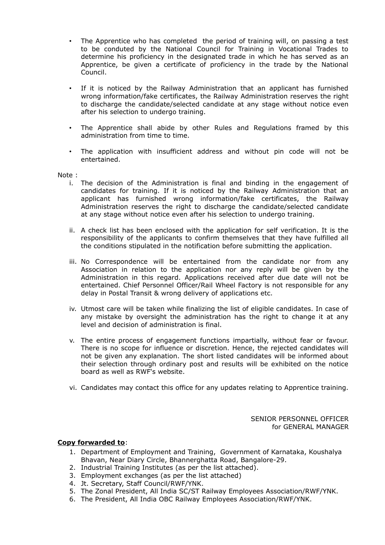- The Apprentice who has completed the period of training will, on passing a test to be conduted by the National Council for Training in Vocational Trades to determine his proficiency in the designated trade in which he has served as an Apprentice, be given a certificate of proficiency in the trade by the National Council.
- If it is noticed by the Railway Administration that an applicant has furnished wrong information/fake certificates, the Railway Administration reserves the right to discharge the candidate/selected candidate at any stage without notice even after his selection to undergo training.
- The Apprentice shall abide by other Rules and Regulations framed by this administration from time to time.
- The application with insufficient address and without pin code will not be entertained.

Note :

- i. The decision of the Administration is final and binding in the engagement of candidates for training. If it is noticed by the Railway Administration that an applicant has furnished wrong information/fake certificates, the Railway Administration reserves the right to discharge the candidate/selected candidate at any stage without notice even after his selection to undergo training.
- ii. A check list has been enclosed with the application for self verification. It is the responsibility of the applicants to confirm themselves that they have fulfilled all the conditions stipulated in the notification before submitting the application.
- iii. No Correspondence will be entertained from the candidate nor from any Association in relation to the application nor any reply will be given by the Administration in this regard. Applications received after due date will not be entertained. Chief Personnel Officer/Rail Wheel Factory is not responsible for any delay in Postal Transit & wrong delivery of applications etc.
- iv. Utmost care will be taken while finalizing the list of eligible candidates. In case of any mistake by oversight the administration has the right to change it at any level and decision of administration is final.
- v. The entire process of engagement functions impartially, without fear or favour. There is no scope for influence or discretion. Hence, the rejected candidates will not be given any explanation. The short listed candidates will be informed about their selection through ordinary post and results will be exhibited on the notice board as well as RWF's website.
- vi. Candidates may contact this office for any updates relating to Apprentice training.

SENIOR PERSONNEL OFFICER for GENERAL MANAGER

#### **Copy forwarded to**:

- 1. Department of Employment and Training, Government of Karnataka, Koushalya Bhavan, Near Diary Circle, Bhannerghatta Road, Bangalore-29.
- 2. Industrial Training Institutes (as per the list attached).
- 3. Employment exchanges (as per the list attached)
- 4. Jt. Secretary, Staff Council/RWF/YNK.
- 5. The Zonal President, All India SC/ST Railway Employees Association/RWF/YNK.
- 6. The President, All India OBC Railway Employees Association/RWF/YNK.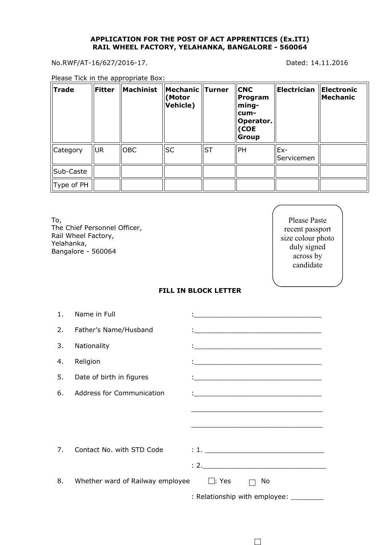#### **APPLICATION FOR THE POST OF ACT APPRENTICES (Ex.ITI) RAIL WHEEL FACTORY, YELAHANKA, BANGALORE - 560064**

No.RWF/AT-16/627/2016-17. Dated: 14.11.2016

Please Tick in the appropriate Box:

| <b>Trade</b> | <b>Fitter</b> | Machinist  | <b>Mechanic Turner</b><br>(Motor<br><b>Vehicle)</b> |           | <b>CNC</b><br>Program<br>ming-<br>cum-<br>Operator.<br>(COE<br><b>Group</b> | Electrician         | Electronic<br>Mechanic |
|--------------|---------------|------------|-----------------------------------------------------|-----------|-----------------------------------------------------------------------------|---------------------|------------------------|
| Category     | <b>UR</b>     | <b>OBC</b> | <b>SC</b>                                           | <b>ST</b> | PH                                                                          | $Ex-$<br>Servicemen |                        |
| Sub-Caste    |               |            |                                                     |           |                                                                             |                     |                        |
| Type of PH   |               |            |                                                     |           |                                                                             |                     |                        |

To, The Chief Personnel Officer, Rail Wheel Factory, Yelahanka, Bangalore - 560064

Please Paste recent passport size colour photo duly signed across by candidate

#### **FILL IN BLOCK LETTER**

| 1. | Name in Full                                  | <u> 1989 - Johann Barbara, martin amerikan basal dan berasal dan berasal dalam basal dalam basal dalam basal dala</u>   |
|----|-----------------------------------------------|-------------------------------------------------------------------------------------------------------------------------|
| 2. | Father's Name/Husband                         | <u> 1988 - Johann John Stein, fransk politik (</u>                                                                      |
| 3. | Nationality                                   |                                                                                                                         |
| 4. | Religion                                      |                                                                                                                         |
| 5. | Date of birth in figures                      | <u> 1999 - Johann John Stein, fransk politik (</u>                                                                      |
| 6. | <b>Address for Communication</b>              |                                                                                                                         |
|    |                                               | the control of the control of the control of the control of the control of the control of the control of the control of |
|    |                                               |                                                                                                                         |
|    |                                               |                                                                                                                         |
| 7. | Contact No. with STD Code                     |                                                                                                                         |
|    |                                               | : 2.                                                                                                                    |
| 8. | Whether ward of Railway employee $\Box$ : Yes | No                                                                                                                      |
|    |                                               | : Relationship with employee:                                                                                           |

 $\Box$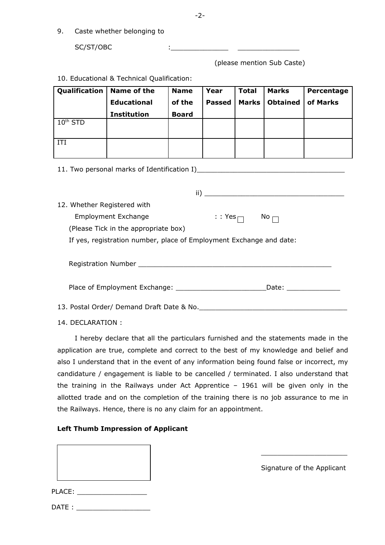9. Caste whether belonging to

SC/ST/OBC

(please mention Sub Caste)

| Qualification        | Name of the        | <b>Name</b>  | Year          | <b>Total</b> | <b>Marks</b>    | Percentage |
|----------------------|--------------------|--------------|---------------|--------------|-----------------|------------|
|                      | <b>Educational</b> | of the       | <b>Passed</b> | Marks        | <b>Obtained</b> | of Marks   |
|                      | <b>Institution</b> | <b>Board</b> |               |              |                 |            |
| 10 <sup>th</sup> STD |                    |              |               |              |                 |            |
|                      |                    |              |               |              |                 |            |
| IΤI                  |                    |              |               |              |                 |            |
|                      |                    |              |               |              |                 |            |
|                      |                    |              |               |              |                 |            |

10. Educational & Technical Qualification:

11. Two personal marks of Identification I)\_\_\_\_\_\_\_\_\_\_\_\_\_\_\_\_\_\_\_\_\_\_\_\_\_\_\_\_\_\_\_\_\_\_\_\_

|                                                                                  | ii)             | <u> 1980 - Andrea Andrewski, fransk politik (d. 1980)</u> |
|----------------------------------------------------------------------------------|-----------------|-----------------------------------------------------------|
| 12. Whether Registered with                                                      |                 |                                                           |
| <b>Employment Exchange</b>                                                       | $: Y$ es $\Box$ | No $\Box$                                                 |
| (Please Tick in the appropriate box)                                             |                 |                                                           |
| If yes, registration number, place of Employment Exchange and date:              |                 |                                                           |
|                                                                                  |                 |                                                           |
| Place of Employment Exchange: 2008. All and the exchange of Employment Exchange: |                 | Date: _________________                                   |
| 13. Postal Order/ Demand Draft Date & No.                                        |                 |                                                           |

14. DECLARATION :

I hereby declare that all the particulars furnished and the statements made in the application are true, complete and correct to the best of my knowledge and belief and also I understand that in the event of any information being found false or incorrect, my candidature / engagement is liable to be cancelled / terminated. I also understand that the training in the Railways under Act Apprentice – 1961 will be given only in the allotted trade and on the completion of the training there is no job assurance to me in the Railways. Hence, there is no any claim for an appointment.

## **Left Thumb Impression of Applicant**

PLACE: \_\_\_\_\_\_\_\_\_\_\_\_\_\_\_\_\_

Signature of the Applicant

\_\_\_\_\_\_\_\_\_\_\_\_\_\_\_\_\_\_\_\_\_

| DATE: |  |  |
|-------|--|--|
|       |  |  |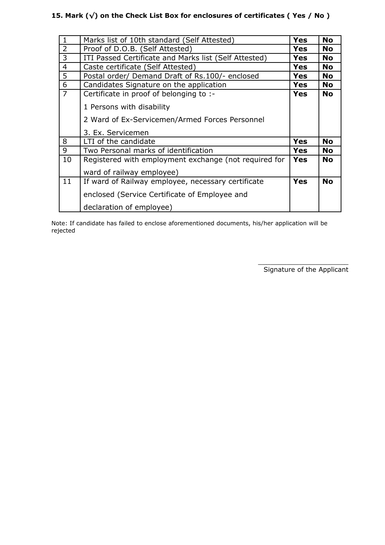# **15. Mark (√) on the Check List Box for enclosures of certificates ( Yes / No )**

| $\mathbf{1}$   | Marks list of 10th standard (Self Attested)           | <b>Yes</b> | <b>No</b> |
|----------------|-------------------------------------------------------|------------|-----------|
| $\overline{2}$ | Proof of D.O.B. (Self Attested)                       | <b>Yes</b> | <b>No</b> |
| 3              | ITI Passed Certificate and Marks list (Self Attested) | <b>Yes</b> | <b>No</b> |
| $\overline{4}$ | Caste certificate (Self Attested)                     | <b>Yes</b> | <b>No</b> |
| 5              | Postal order/ Demand Draft of Rs.100/- enclosed       | <b>Yes</b> | <b>No</b> |
| 6              | Candidates Signature on the application               | <b>Yes</b> | <b>No</b> |
| $\overline{7}$ | Certificate in proof of belonging to :-               | <b>Yes</b> | <b>No</b> |
|                | 1 Persons with disability                             |            |           |
|                |                                                       |            |           |
|                | 2 Ward of Ex-Servicemen/Armed Forces Personnel        |            |           |
|                | 3. Ex. Servicemen                                     |            |           |
| 8              | LTI of the candidate                                  | <b>Yes</b> | <b>No</b> |
| 9              | Two Personal marks of identification                  | Yes        | <b>No</b> |
| 10             | Registered with employment exchange (not required for | <b>Yes</b> | <b>No</b> |
|                | ward of railway employee)                             |            |           |
| 11             | If ward of Railway employee, necessary certificate    | <b>Yes</b> | <b>No</b> |
|                |                                                       |            |           |
|                | enclosed (Service Certificate of Employee and         |            |           |
|                | declaration of employee)                              |            |           |

Note: If candidate has failed to enclose aforementioned documents, his/her application will be rejected

> \_\_\_\_\_\_\_\_\_\_\_\_\_\_\_\_\_\_\_\_\_\_ Signature of the Applicant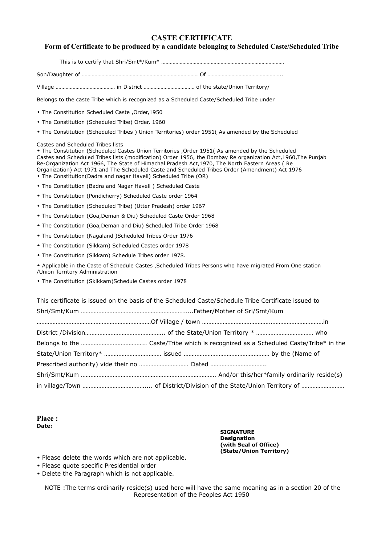## **CASTE CERTIFICATE**

#### **Form of Certificate to be produced by a candidate belonging to Scheduled Caste/Scheduled Tribe**

This is to certify that Shri/Smt\*/Kum\* ……………………………………………………………………………

Son/Daughter of ………………………………………………………………………. Of ……………………………………………..

Village …………………………………… in District ……………………………… of the state/Union Territory/

Belongs to the caste Tribe which is recognized as a Scheduled Caste/Scheduled Tribe under

- The Constitution Scheduled Caste ,Order,1950
- The Constitution (Scheduled Tribe) Order, 1960
- The Constitution (Scheduled Tribes ) Union Territories) order 1951( As amended by the Scheduled

Castes and Scheduled Tribes lists

 The Constitution (Scheduled Castes Union Territories ,Order 1951( As amended by the Scheduled Castes and Scheduled Tribes lists (modification) Order 1956, the Bombay Re organization Act,1960,The Punjab Re-Organization Act 1966, The State of Himachal Pradesh Act,1970, The North Eastern Areas ( Re Organization) Act 1971 and The Scheduled Caste and Scheduled Tribes Order (Amendment) Act 1976

- The Constitution(Dadra and nagar Haveli) Scheduled Tribe (OR)
- The Constitution (Badra and Nagar Haveli ) Scheduled Caste
- The Constitution (Pondicherry) Scheduled Caste order 1964
- The Constitution (Scheduled Tribe) (Utter Pradesh) order 1967
- The Constitution (Goa,Deman & Diu) Scheduled Caste Order 1968
- The Constitution (Goa,Deman and Diu) Scheduled Tribe Order 1968
- The Constitution (Nagaland )Scheduled Tribes Order 1976
- The Constitution (Sikkam) Scheduled Castes order 1978
- The Constitution (Sikkam) Schedule Tribes order 1978.

 Applicable in the Caste of Schedule Castes ,Scheduled Tribes Persons who have migrated From One station /Union Territory Administration

The Constitution (Skikkam)Schedule Castes order 1978

This certificate is issued on the basis of the Scheduled Caste/Schedule Tribe Certificate issued to Shri/Smt/Kum ………………………………………………………......Father/Mother of Sri/Smt/Kum ………………………………………………………………Of Village / town …………………………………….……………………………in District /Division………………………………………….. of the State/Union Territory \* ……………………………… who Belongs to the ………………………………….. Caste/Tribe which is recognized as a Scheduled Caste/Tribe\* in the State/Union Territory\* ……………………………… issued ……………………………………………… by the (Name of Prescribed authority) vide their no …………………………. Dated …………………………….. Shri/Smt/Kum …………………………………………………………………………. And/or this/her\*family ordinarily reside(s) in village/Town ………………………………….... of District/Division of the State/Union Territory of ………………………

**Place : Date:** 

> **SIGNATURE Designation (with Seal of Office) (State/Union Territory)**

- Please delete the words which are not applicable.
- Please quote specific Presidential order
- Delete the Paragraph which is not applicable.

NOTE :The terms ordinarily reside(s) used here will have the same meaning as in a section 20 of the Representation of the Peoples Act 1950